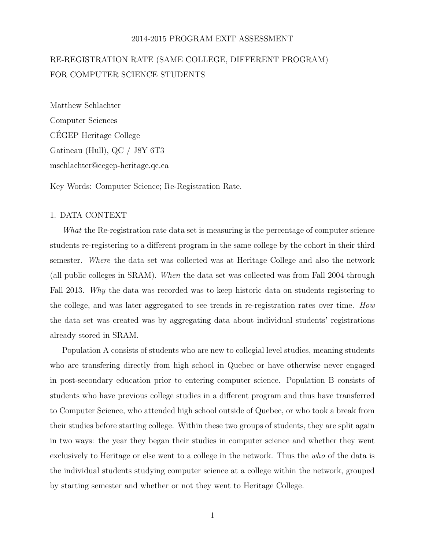#### 2014-2015 PROGRAM EXIT ASSESSMENT

# RE-REGISTRATION RATE (SAME COLLEGE, DIFFERENT PROGRAM) FOR COMPUTER SCIENCE STUDENTS

Matthew Schlachter Computer Sciences CEGEP Heritage College ´ Gatineau (Hull), QC / J8Y 6T3 mschlachter@cegep-heritage.qc.ca

Key Words: Computer Science; Re-Registration Rate.

## 1. DATA CONTEXT

What the Re-registration rate data set is measuring is the percentage of computer science students re-registering to a different program in the same college by the cohort in their third semester. Where the data set was collected was at Heritage College and also the network (all public colleges in SRAM). When the data set was collected was from Fall 2004 through Fall 2013. Why the data was recorded was to keep historic data on students registering to the college, and was later aggregated to see trends in re-registration rates over time. How the data set was created was by aggregating data about individual students' registrations already stored in SRAM.

Population A consists of students who are new to collegial level studies, meaning students who are transfering directly from high school in Quebec or have otherwise never engaged in post-secondary education prior to entering computer science. Population B consists of students who have previous college studies in a different program and thus have transferred to Computer Science, who attended high school outside of Quebec, or who took a break from their studies before starting college. Within these two groups of students, they are split again in two ways: the year they began their studies in computer science and whether they went exclusively to Heritage or else went to a college in the network. Thus the who of the data is the individual students studying computer science at a college within the network, grouped by starting semester and whether or not they went to Heritage College.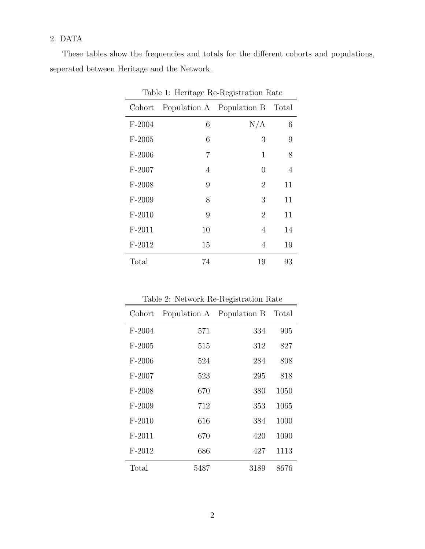## 2. DATA

These tables show the frequencies and totals for the different cohorts and populations, seperated between Heritage and the Network.

| Table 1: Heritage Re-Registration Rate |    |                                 |    |  |  |  |  |
|----------------------------------------|----|---------------------------------|----|--|--|--|--|
| Cohort                                 |    | Population A Population B Total |    |  |  |  |  |
| $F-2004$                               | 6  | N/A                             | 6  |  |  |  |  |
| $F-2005$                               | 6  | 3                               | 9  |  |  |  |  |
| $F-2006$                               | 7  | $\mathbf{1}$                    | 8  |  |  |  |  |
| $F-2007$                               | 4  | 0                               | 4  |  |  |  |  |
| $F-2008$                               | 9  | 2                               | 11 |  |  |  |  |
| $F-2009$                               | 8  | 3                               | 11 |  |  |  |  |
| $F-2010$                               | 9  | $\overline{2}$                  | 11 |  |  |  |  |
| $F-2011$                               | 10 | 4                               | 14 |  |  |  |  |
| $F-2012$                               | 15 | 4                               | 19 |  |  |  |  |
| Total                                  | 74 | 19                              | 93 |  |  |  |  |

| Table 2: Network Re-Registration Rate |
|---------------------------------------|
|---------------------------------------|

| Cohort   |      | Population A Population B | Total |
|----------|------|---------------------------|-------|
| $F-2004$ | 571  | 334                       | 905   |
| $F-2005$ | 515  | 312                       | 827   |
| $F-2006$ | 524  | 284                       | 808   |
| $F-2007$ | 523  | 295                       | 818   |
| $F-2008$ | 670  | 380                       | 1050  |
| $F-2009$ | 712  | 353                       | 1065  |
| $F-2010$ | 616  | 384                       | 1000  |
| $F-2011$ | 670  | 420                       | 1090  |
| $F-2012$ | 686  | 427                       | 1113  |
| Total    | 5487 | 3189                      | 8676  |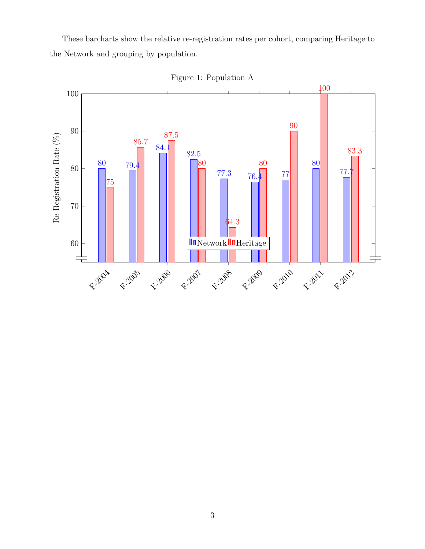These barcharts show the relative re-registration rates per cohort, comparing Heritage to the Network and grouping by population.



Figure 1: Population A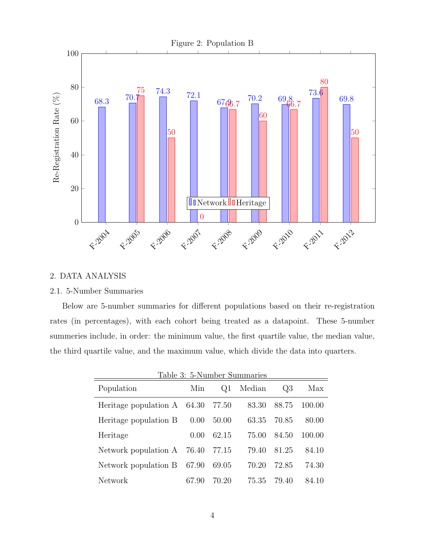

## 2. DATA ANALYSIS

## 2.1. 5-Number Summaries

Below are 5-number summaries for different populations based on their re-registration rates (in percentages), with each cohort being treated as a datapoint. These 5-number summeries include, in order: the minimum value, the first quartile value, the median value, the third quartile value, and the maximum value, which divide the data into quarters.

| Table 3: 5-Number Summaries         |       |       |        |       |        |  |  |  |  |
|-------------------------------------|-------|-------|--------|-------|--------|--|--|--|--|
| Population                          | Min   | Q1    | Median | $Q_3$ | Max    |  |  |  |  |
| Heritage population $A \quad 64.30$ |       | 77.50 | 83.30  | 88.75 | 100.00 |  |  |  |  |
| Heritage population B               | 0.00  | 50.00 | 63.35  | 70.85 | 80.00  |  |  |  |  |
| Heritage                            | 0.00  | 62.15 | 75.00  | 84.50 | 100.00 |  |  |  |  |
| Network population A 76.40          |       | 77.15 | 79.40  | 81.25 | 84.10  |  |  |  |  |
| Network population B                | 67.90 | 69.05 | 70.20  | 72.85 | 74.30  |  |  |  |  |
| Network                             | 67.90 | 70.20 | 75.35  | 79.40 | 84.10  |  |  |  |  |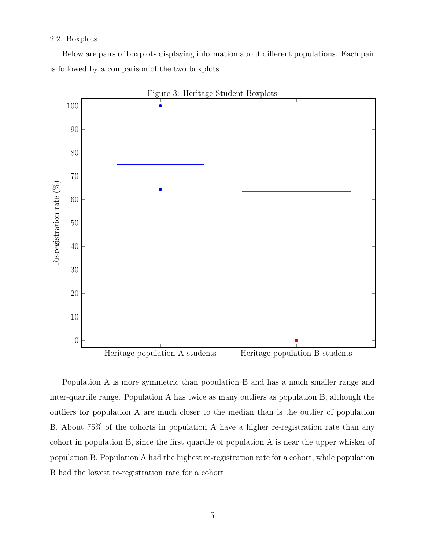### 2.2. Boxplots

Below are pairs of boxplots displaying information about different populations. Each pair is followed by a comparison of the two boxplots.



Population A is more symmetric than population B and has a much smaller range and inter-quartile range. Population A has twice as many outliers as population B, although the outliers for population A are much closer to the median than is the outlier of population B. About 75% of the cohorts in population A have a higher re-registration rate than any cohort in population B, since the first quartile of population A is near the upper whisker of population B. Population A had the highest re-registration rate for a cohort, while population B had the lowest re-registration rate for a cohort.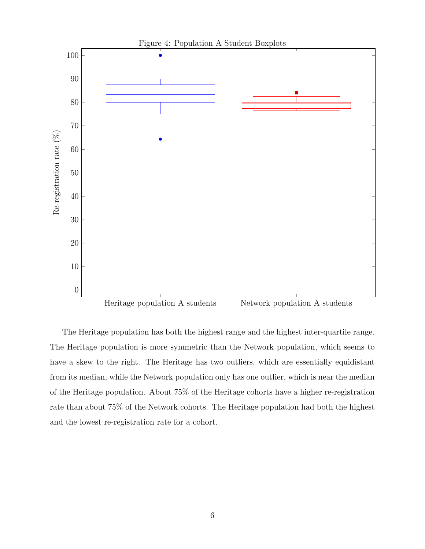

The Heritage population has both the highest range and the highest inter-quartile range. The Heritage population is more symmetric than the Network population, which seems to have a skew to the right. The Heritage has two outliers, which are essentially equidistant from its median, while the Network population only has one outlier, which is near the median of the Heritage population. About 75% of the Heritage cohorts have a higher re-registration rate than about 75% of the Network cohorts. The Heritage population had both the highest and the lowest re-registration rate for a cohort.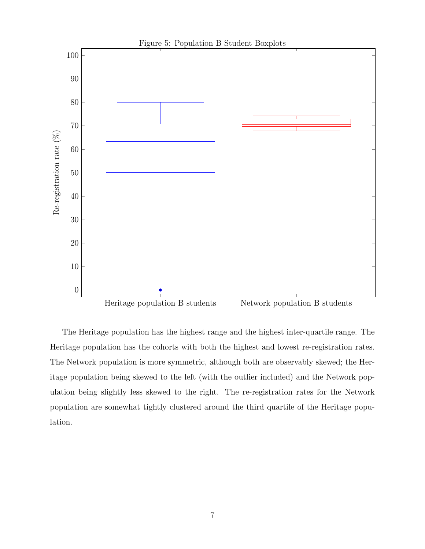

The Heritage population has the highest range and the highest inter-quartile range. The Heritage population has the cohorts with both the highest and lowest re-registration rates. The Network population is more symmetric, although both are observably skewed; the Heritage population being skewed to the left (with the outlier included) and the Network population being slightly less skewed to the right. The re-registration rates for the Network population are somewhat tightly clustered around the third quartile of the Heritage population.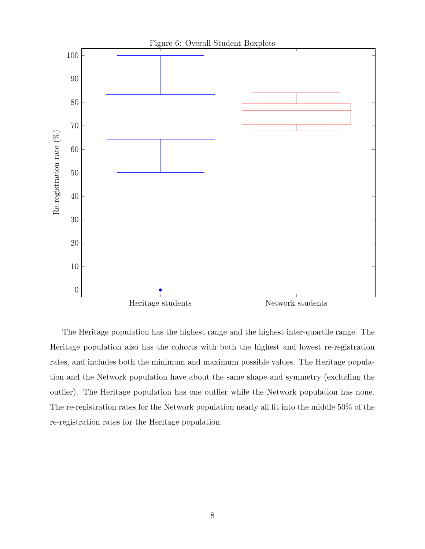

The Heritage population has the highest range and the highest inter-quartile range. The Heritage population also has the cohorts with both the highest and lowest re-registration rates, and includes both the minimum and maximum possible values. The Heritage population and the Network population have about the same shape and symmetry (excluding the outlier). The Heritage population has one outlier while the Network population has none. The re-registration rates for the Network population nearly all fit into the middle 50% of the re-registration rates for the Heritage population.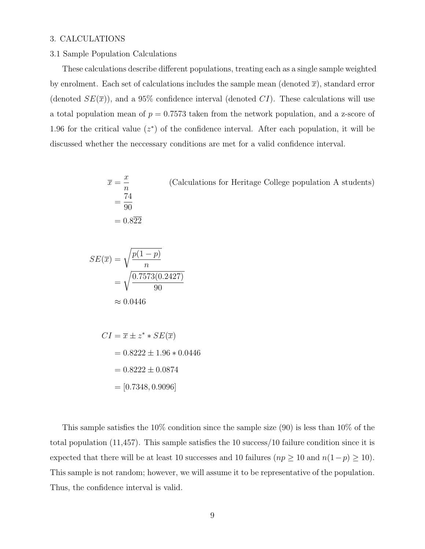## 3. CALCULATIONS

#### 3.1 Sample Population Calculations

These calculations describe different populations, treating each as a single sample weighted by enrolment. Each set of calculations includes the sample mean (denoted  $\bar{x}$ ), standard error (denoted  $SE(\bar{x})$ ), and a 95% confidence interval (denoted CI). These calculations will use a total population mean of  $p = 0.7573$  taken from the network population, and a z-score of 1.96 for the critical value  $(z^*)$  of the confidence interval. After each population, it will be discussed whether the neccessary conditions are met for a valid confidence interval.

$$
\overline{x} = \frac{x}{n}
$$
 (Calculations for Heritage College population A students)  
=  $\frac{74}{90}$   
= 0.822

$$
SE(\overline{x}) = \sqrt{\frac{p(1-p)}{n}}
$$

$$
= \sqrt{\frac{0.7573(0.2427)}{90}}
$$

$$
\approx 0.0446
$$

$$
CI = \overline{x} \pm z^* * SE(\overline{x})
$$
  
= 0.8222 ± 1.96 \* 0.0446  
= 0.8222 ± 0.0874  
= [0.7348, 0.9096]

This sample satisfies the 10% condition since the sample size (90) is less than 10% of the total population (11,457). This sample satisfies the 10 success/10 failure condition since it is expected that there will be at least 10 successes and 10 failures ( $np \ge 10$  and  $n(1-p) \ge 10$ ). This sample is not random; however, we will assume it to be representative of the population. Thus, the confidence interval is valid.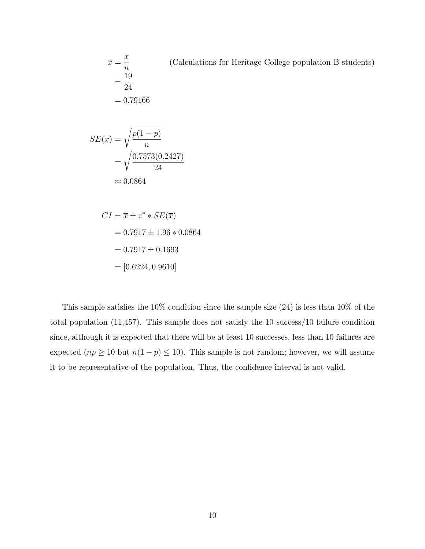$\overline{x} =$  $\overline{x}$ n (Calculations for Heritage College population B students) = 19 24  $= 0.791\overline{66}$ 

$$
SE(\overline{x}) = \sqrt{\frac{p(1-p)}{n}}
$$

$$
= \sqrt{\frac{0.7573(0.2427)}{24}}
$$

$$
\approx 0.0864
$$

$$
CI = \overline{x} \pm z^* * SE(\overline{x})
$$
  
= 0.7917 ± 1.96 \* 0.0864  
= 0.7917 ± 0.1693  
= [0.6224, 0.9610]

This sample satisfies the  $10\%$  condition since the sample size (24) is less than  $10\%$  of the total population (11,457). This sample does not satisfy the 10 success/10 failure condition since, although it is expected that there will be at least 10 successes, less than 10 failures are expected  $(np \ge 10$  but  $n(1-p) \le 10$ ). This sample is not random; however, we will assume it to be representative of the population. Thus, the confidence interval is not valid.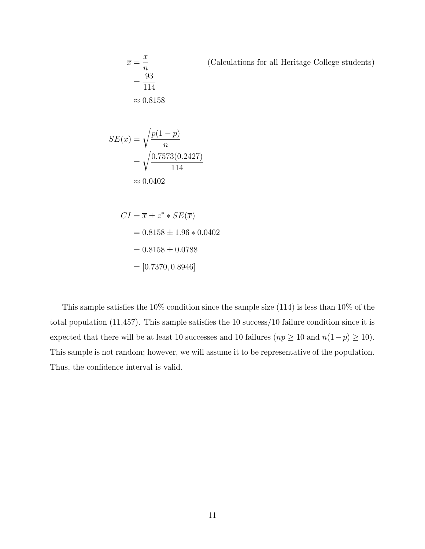(Calculations for all Heritage College students)

$$
\overline{x} = \frac{x}{n}
$$

$$
= \frac{93}{114}
$$

$$
\approx 0.8158
$$

$$
SE(\overline{x}) = \sqrt{\frac{p(1-p)}{n}}
$$

$$
= \sqrt{\frac{0.7573(0.2427)}{114}}
$$

$$
\approx 0.0402
$$

$$
CI = \overline{x} \pm z^* * SE(\overline{x})
$$
  
= 0.8158 ± 1.96 \* 0.0402  
= 0.8158 ± 0.0788  
= [0.7370, 0.8946]

This sample satisfies the 10% condition since the sample size (114) is less than 10% of the total population (11,457). This sample satisfies the 10 success/10 failure condition since it is expected that there will be at least 10 successes and 10 failures ( $np \ge 10$  and  $n(1-p) \ge 10$ ). This sample is not random; however, we will assume it to be representative of the population. Thus, the confidence interval is valid.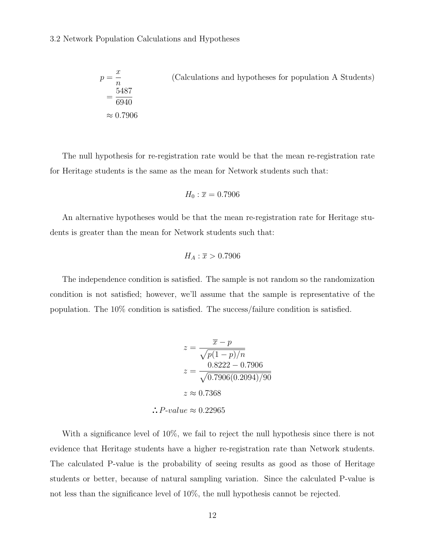#### 3.2 Network Population Calculations and Hypotheses

$$
p = \frac{x}{n}
$$
 (Calculations and hypotheses for population A Students)  
=  $\frac{5487}{6940}$   
 $\approx 0.7906$ 

The null hypothesis for re-registration rate would be that the mean re-registration rate for Heritage students is the same as the mean for Network students such that:

$$
H_0: \overline{x} = 0.7906
$$

An alternative hypotheses would be that the mean re-registration rate for Heritage students is greater than the mean for Network students such that:

$$
H_A: \overline{x} > 0.7906
$$

The independence condition is satisfied. The sample is not random so the randomization condition is not satisfied; however, we'll assume that the sample is representative of the population. The 10% condition is satisfied. The success/failure condition is satisfied.

$$
z = \frac{\overline{x} - p}{\sqrt{p(1 - p)/n}}
$$

$$
z = \frac{0.8222 - 0.7906}{\sqrt{0.7906(0.2094)/90}}
$$

$$
z \approx 0.7368
$$

 $\therefore$  P-value  $\approx 0.22965$ 

With a significance level of 10%, we fail to reject the null hypothesis since there is not evidence that Heritage students have a higher re-registration rate than Network students. The calculated P-value is the probability of seeing results as good as those of Heritage students or better, because of natural sampling variation. Since the calculated P-value is not less than the significance level of 10%, the null hypothesis cannot be rejected.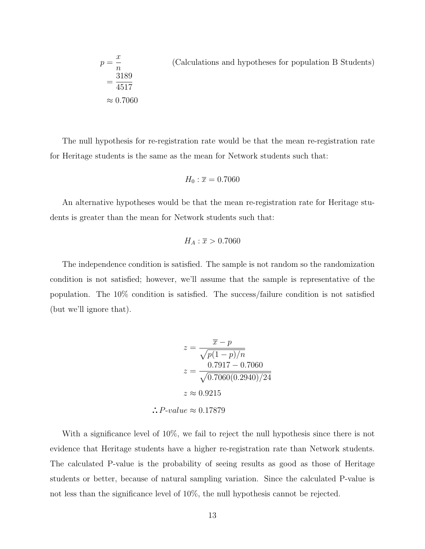$$
p = \frac{x}{n}
$$
 (Calculations and hypotheses for population B Students)  
=  $\frac{3189}{4517}$   
 $\approx 0.7060$ 

The null hypothesis for re-registration rate would be that the mean re-registration rate for Heritage students is the same as the mean for Network students such that:

$$
H_0: \overline{x} = 0.7060
$$

An alternative hypotheses would be that the mean re-registration rate for Heritage students is greater than the mean for Network students such that:

$$
H_A: \overline{x} > 0.7060
$$

The independence condition is satisfied. The sample is not random so the randomization condition is not satisfied; however, we'll assume that the sample is representative of the population. The 10% condition is satisfied. The success/failure condition is not satisfied (but we'll ignore that).

$$
z = \frac{\overline{x} - p}{\sqrt{p(1 - p)/n}}
$$

$$
z = \frac{0.7917 - 0.7060}{\sqrt{0.7060(0.2940)/24}}
$$

$$
z \approx 0.9215
$$

 $\therefore$  P-value  $\approx 0.17879$ 

With a significance level of 10%, we fail to reject the null hypothesis since there is not evidence that Heritage students have a higher re-registration rate than Network students. The calculated P-value is the probability of seeing results as good as those of Heritage students or better, because of natural sampling variation. Since the calculated P-value is not less than the significance level of 10%, the null hypothesis cannot be rejected.